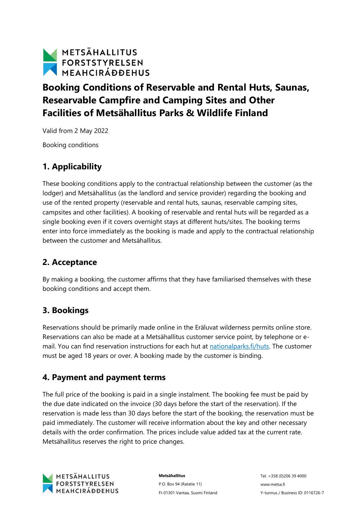

# **Booking Conditions of Reservable and Rental Huts, Saunas, Researvable Campfire and Camping Sites and Other Facilities of Metsähallitus Parks & Wildlife Finland**

Valid from 2 May 2022

Booking conditions

### **1. Applicability**

These booking conditions apply to the contractual relationship between the customer (as the lodger) and Metsähallitus (as the landlord and service provider) regarding the booking and use of the rented property (reservable and rental huts, saunas, reservable camping sites, campsites and other facilities). A booking of reservable and rental huts will be regarded as a single booking even if it covers overnight stays at different huts/sites. The booking terms enter into force immediately as the booking is made and apply to the contractual relationship between the customer and Metsähallitus.

#### **2. Acceptance**

By making a booking, the customer affirms that they have familiarised themselves with these booking conditions and accept them.

#### **3. Bookings**

Reservations should be primarily made online in the Eräluvat wilderness permits online store. Reservations can also be made at a Metsähallitus customer service point, by telephone or email. You can find reservation instructions for each hut at [nationalparks.fi/huts.](https://www.nationalparks.fi/huts) The customer must be aged 18 years or over. A booking made by the customer is binding.

### **4. Payment and payment terms**

The full price of the booking is paid in a single instalment. The booking fee must be paid by the due date indicated on the invoice (30 days before the start of the reservation). If the reservation is made less than 30 days before the start of the booking, the reservation must be paid immediately. The customer will receive information about the key and other necessary details with the order confirmation. The prices include value added tax at the current rate. Metsähallitus reserves the right to price changes.



**Metsähallitus** P.O. Box 94 (Ratatie 11) FI-01301 Vantaa, Suomi Finland

Tel. +358 (0)206 39 4000 www.metsa.fi Y-tunnus / Business ID: 0116726-7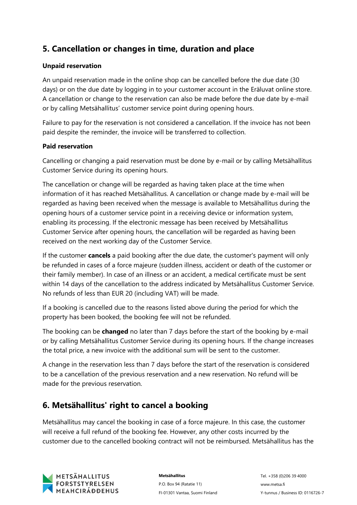## **5. Cancellation or changes in time, duration and place**

#### **Unpaid reservation**

An unpaid reservation made in the online shop can be cancelled before the due date (30 days) or on the due date by logging in to your customer account in the Eräluvat online store. A cancellation or change to the reservation can also be made before the due date by e-mail or by calling Metsähallitus' customer service point during opening hours.

Failure to pay for the reservation is not considered a cancellation. If the invoice has not been paid despite the reminder, the invoice will be transferred to collection.

#### **Paid reservation**

Cancelling or changing a paid reservation must be done by e-mail or by calling Metsähallitus Customer Service during its opening hours.

The cancellation or change will be regarded as having taken place at the time when information of it has reached Metsähallitus. A cancellation or change made by e-mail will be regarded as having been received when the message is available to Metsähallitus during the opening hours of a customer service point in a receiving device or information system, enabling its processing. If the electronic message has been received by Metsähallitus Customer Service after opening hours, the cancellation will be regarded as having been received on the next working day of the Customer Service.

If the customer **cancels** a paid booking after the due date, the customer's payment will only be refunded in cases of a force majeure (sudden illness, accident or death of the customer or their family member). In case of an illness or an accident, a medical certificate must be sent within 14 days of the cancellation to the address indicated by Metsähallitus Customer Service. No refunds of less than EUR 20 (including VAT) will be made.

If a booking is cancelled due to the reasons listed above during the period for which the property has been booked, the booking fee will not be refunded.

The booking can be **changed** no later than 7 days before the start of the booking by e-mail or by calling Metsähallitus Customer Service during its opening hours. If the change increases the total price, a new invoice with the additional sum will be sent to the customer.

A change in the reservation less than 7 days before the start of the reservation is considered to be a cancellation of the previous reservation and a new reservation. No refund will be made for the previous reservation.

### **6. Metsähallitus' right to cancel a booking**

Metsähallitus may cancel the booking in case of a force majeure. In this case, the customer will receive a full refund of the booking fee. However, any other costs incurred by the customer due to the cancelled booking contract will not be reimbursed. Metsähallitus has the

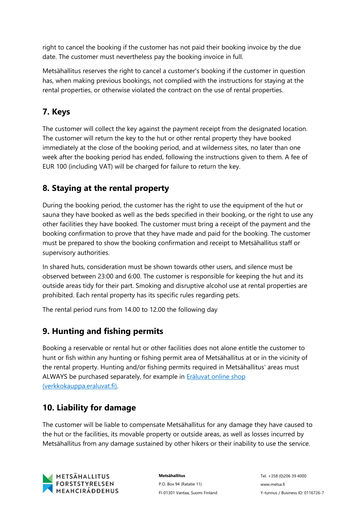right to cancel the booking if the customer has not paid their booking invoice by the due date. The customer must nevertheless pay the booking invoice in full.

Metsähallitus reserves the right to cancel a customer's booking if the customer in question has, when making previous bookings, not complied with the instructions for staying at the rental properties, or otherwise violated the contract on the use of rental properties.

## **7. Keys**

The customer will collect the key against the payment receipt from the designated location. The customer will return the key to the hut or other rental property they have booked immediately at the close of the booking period, and at wilderness sites, no later than one week after the booking period has ended, following the instructions given to them. A fee of EUR 100 (including VAT) will be charged for failure to return the key.

## **8. Staying at the rental property**

During the booking period, the customer has the right to use the equipment of the hut or sauna they have booked as well as the beds specified in their booking, or the right to use any other facilities they have booked. The customer must bring a receipt of the payment and the booking confirmation to prove that they have made and paid for the booking. The customer must be prepared to show the booking confirmation and receipt to Metsähallitus staff or supervisory authorities.

In shared huts, consideration must be shown towards other users, and silence must be observed between 23:00 and 6:00. The customer is responsible for keeping the hut and its outside areas tidy for their part. Smoking and disruptive alcohol use at rental properties are prohibited. Each rental property has its specific rules regarding pets.

The rental period runs from 14.00 to 12.00 the following day

## **9. Hunting and fishing permits**

Booking a reservable or rental hut or other facilities does not alone entitle the customer to hunt or fish within any hunting or fishing permit area of Metsähallitus at or in the vicinity of the rental property. Hunting and/or fishing permits required in Metsähallitus' areas must ALWAYS be purchased separately, for example in **Eräluvat online shop** [\(verkkokauppa.eraluvat.fi\).](https://verkkokauppa.eraluvat.fi/en/)

# **10. Liability for damage**

The customer will be liable to compensate Metsähallitus for any damage they have caused to the hut or the facilities, its movable property or outside areas, as well as losses incurred by Metsähallitus from any damage sustained by other hikers or their inability to use the service.



**Metsähallitus** P.O. Box 94 (Ratatie 11) FI-01301 Vantaa, Suomi Finland

Tel. +358 (0)206 39 4000 www.metsa.fi Y-tunnus / Business ID: 0116726-7